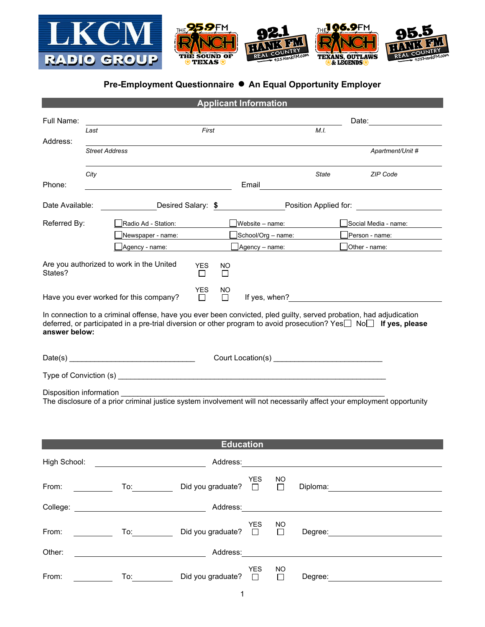

## **Pre-Employment Questionnaire ● An Equal Opportunity Employer**

| <b>Applicant Information</b>                                                                                                                                                                                                                            |                       |                                                                     |  |                             |                           |                     |                      |                                                                                                                                                                                                       |  |  |
|---------------------------------------------------------------------------------------------------------------------------------------------------------------------------------------------------------------------------------------------------------|-----------------------|---------------------------------------------------------------------|--|-----------------------------|---------------------------|---------------------|----------------------|-------------------------------------------------------------------------------------------------------------------------------------------------------------------------------------------------------|--|--|
| Full Name:                                                                                                                                                                                                                                              |                       |                                                                     |  |                             |                           |                     | Date: <u>_______</u> |                                                                                                                                                                                                       |  |  |
| Address:                                                                                                                                                                                                                                                | First<br>Last         |                                                                     |  |                             |                           |                     | M.L.                 |                                                                                                                                                                                                       |  |  |
|                                                                                                                                                                                                                                                         | <b>Street Address</b> |                                                                     |  |                             |                           |                     |                      | Apartment/Unit #                                                                                                                                                                                      |  |  |
|                                                                                                                                                                                                                                                         | City                  |                                                                     |  |                             |                           |                     | State                | <b>ZIP Code</b>                                                                                                                                                                                       |  |  |
| Phone:                                                                                                                                                                                                                                                  |                       |                                                                     |  |                             | Email                     |                     |                      | <u> 1980 - Jan Samuel Barbara, martin di sebagai personal di sebagai personal di sebagai personal di sebagai per</u>                                                                                  |  |  |
| <b>Desired Salary: \$</b> Position Applied for:<br>Date Available:                                                                                                                                                                                      |                       |                                                                     |  |                             |                           |                     |                      |                                                                                                                                                                                                       |  |  |
| Referred By:                                                                                                                                                                                                                                            |                       | Radio Ad - Station:                                                 |  |                             | Website - name:           |                     |                      | Social Media - name:                                                                                                                                                                                  |  |  |
|                                                                                                                                                                                                                                                         |                       | Newspaper - name:                                                   |  |                             | ]School/Org – name:       |                     |                      | Person - name:                                                                                                                                                                                        |  |  |
|                                                                                                                                                                                                                                                         |                       | Agency - name:                                                      |  |                             | _ <b>]</b> Agency – name: |                     |                      | $\Box$ Other - name:                                                                                                                                                                                  |  |  |
| Are you authorized to work in the United<br><b>YES</b><br>NO.<br>States?<br>$\Box$<br>$\Box$                                                                                                                                                            |                       |                                                                     |  |                             |                           |                     |                      |                                                                                                                                                                                                       |  |  |
| <b>YES</b><br>NO<br>Have you ever worked for this company?<br>If yes, when?<br>$\Box$<br>П                                                                                                                                                              |                       |                                                                     |  |                             |                           |                     |                      |                                                                                                                                                                                                       |  |  |
| In connection to a criminal offense, have you ever been convicted, pled guilty, served probation, had adjudication<br>deferred, or participated in a pre-trial diversion or other program to avoid prosecution? Yes Non If yes, please<br>answer below: |                       |                                                                     |  |                             |                           |                     |                      |                                                                                                                                                                                                       |  |  |
|                                                                                                                                                                                                                                                         |                       |                                                                     |  |                             |                           |                     |                      |                                                                                                                                                                                                       |  |  |
|                                                                                                                                                                                                                                                         |                       |                                                                     |  |                             |                           |                     |                      |                                                                                                                                                                                                       |  |  |
| Disposition information<br>The disclosure of a prior criminal justice system involvement will not necessarily affect your employment opportunity                                                                                                        |                       |                                                                     |  |                             |                           |                     |                      |                                                                                                                                                                                                       |  |  |
|                                                                                                                                                                                                                                                         |                       |                                                                     |  | <b>Education</b>            |                           |                     |                      |                                                                                                                                                                                                       |  |  |
|                                                                                                                                                                                                                                                         |                       | High School: <u>__________________________</u>                      |  |                             |                           |                     |                      |                                                                                                                                                                                                       |  |  |
|                                                                                                                                                                                                                                                         |                       | From: YES<br>From: <u>Cottom Correspondence</u> Did you graduate? □ |  |                             |                           | NO.<br>$\Box$       |                      | Diploma: 2000 2000 2010 2020 2030 2040 2050 2060 2070 2080 2091 2092 2093 2094 2095 2096 2097 2097 2097 2097 20                                                                                       |  |  |
|                                                                                                                                                                                                                                                         |                       |                                                                     |  |                             |                           |                     |                      |                                                                                                                                                                                                       |  |  |
| From:                                                                                                                                                                                                                                                   |                       | University Did you graduate? □                                      |  |                             | <b>YES</b>                | NO<br>$\Box$        |                      |                                                                                                                                                                                                       |  |  |
| Other:                                                                                                                                                                                                                                                  |                       |                                                                     |  |                             |                           |                     |                      | <u>Address:</u> Address: <b>Address: Address: Address: Address: Address: Address: Address: Address: Address: Address: Address: Address: Address: Address: Address: Address: Address: Address: Add</b> |  |  |
| From:                                                                                                                                                                                                                                                   |                       |                                                                     |  | Did you graduate? $\square$ | <b>YES</b>                | <b>NO</b><br>$\Box$ |                      |                                                                                                                                                                                                       |  |  |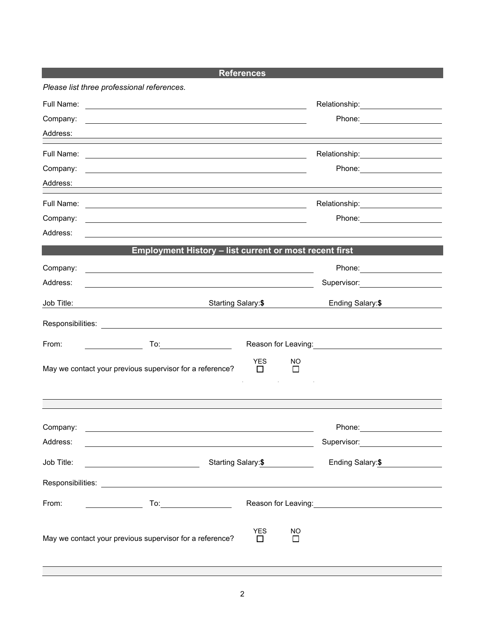| <b>References</b> |                                                                                                                            |                                                        |  |  |  |  |  |
|-------------------|----------------------------------------------------------------------------------------------------------------------------|--------------------------------------------------------|--|--|--|--|--|
|                   | Please list three professional references.                                                                                 |                                                        |  |  |  |  |  |
| Full Name:        | <u>and the contract of the contract of the contract of the contract of the contract of the contract of the contract of</u> | Relationship:___________________                       |  |  |  |  |  |
| Company:          |                                                                                                                            | Phone: _______________________                         |  |  |  |  |  |
| Address:          | and the control of the control of the control of the control of the control of the control of the control of the           |                                                        |  |  |  |  |  |
|                   |                                                                                                                            |                                                        |  |  |  |  |  |
| Company:          |                                                                                                                            |                                                        |  |  |  |  |  |
| Address:          | ,我们也不会有一个人的人,我们也不会有一个人的人,我们也不会有一个人的人。""我们,我们也不会有一个人的人,我们也不会有一个人的人。""我们,我们也不会有一个人                                           |                                                        |  |  |  |  |  |
|                   |                                                                                                                            | Relationship: 2000                                     |  |  |  |  |  |
| Company:          | <u> 1989 - Johann Harry Barn, mars ar breithinn ar breithinn ar breithinn ar breithinn ar breithinn ar breithinn </u>      |                                                        |  |  |  |  |  |
| Address:          |                                                                                                                            |                                                        |  |  |  |  |  |
|                   | Employment History - list current or most recent first                                                                     |                                                        |  |  |  |  |  |
| Company:          | and the control of the control of the control of the control of the control of the control of the control of the           |                                                        |  |  |  |  |  |
| Address:          | <u> 1980 - Johann Stoff, deutscher Stoffen und der Stoffen und der Stoffen und der Stoffen und der Stoffen und de</u>      | Supervisor: Victor Communication Communication         |  |  |  |  |  |
| Job Title:        | Starting Salary:\$                                                                                                         | Ending Salary:\$                                       |  |  |  |  |  |
|                   |                                                                                                                            |                                                        |  |  |  |  |  |
| From:             |                                                                                                                            | Reason for Leaving: Network of the Reason for Leaving: |  |  |  |  |  |
|                   | YES.<br>NO.<br>May we contact your previous supervisor for a reference?<br>П<br>$\Box$                                     |                                                        |  |  |  |  |  |
|                   |                                                                                                                            |                                                        |  |  |  |  |  |
| Company:          |                                                                                                                            | Phone:                                                 |  |  |  |  |  |
| Address:          |                                                                                                                            | Supervisor: ____________________                       |  |  |  |  |  |
| Job Title:        | Starting Salary: \$                                                                                                        | Ending Salary:\$                                       |  |  |  |  |  |
|                   |                                                                                                                            |                                                        |  |  |  |  |  |
| From:             |                                                                                                                            |                                                        |  |  |  |  |  |
|                   | <b>YES</b><br>NO<br>May we contact your previous supervisor for a reference?<br>П<br>□                                     |                                                        |  |  |  |  |  |